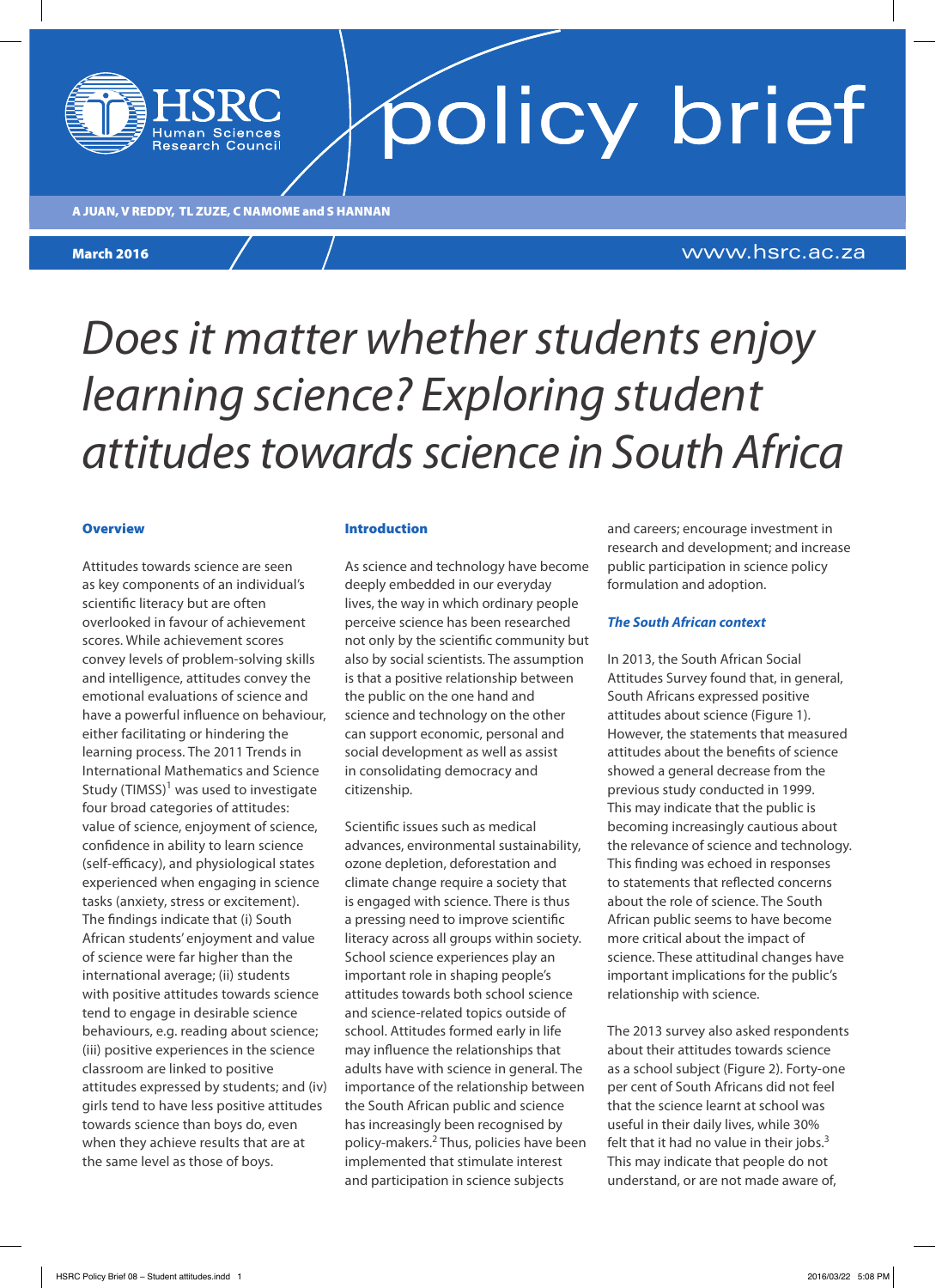A JUAN, V REDDY, TL ZUZE, C NAMOME and S HANNAN

**Research Council** 

**March 2016** 

www.hsrc.ac.za

### *Does it matter whether students enjoy learning science? Exploring student attitudes towards science in South Africa*

### **Overview**

Attitudes towards science are seen as key components of an individual's scientific literacy but are often overlooked in favour of achievement scores. While achievement scores convey levels of problem-solving skills and intelligence, attitudes convey the emotional evaluations of science and have a powerful influence on behaviour, either facilitating or hindering the learning process. The 2011 Trends in International Mathematics and Science Study (TIMSS)<sup>1</sup> was used to investigate four broad categories of attitudes: value of science, enjoyment of science, confidence in ability to learn science (self-efficacy), and physiological states experienced when engaging in science tasks (anxiety, stress or excitement). The findings indicate that (i) South African students' enjoyment and value of science were far higher than the international average; (ii) students with positive attitudes towards science tend to engage in desirable science behaviours, e.g. reading about science; (iii) positive experiences in the science classroom are linked to positive attitudes expressed by students; and (iv) girls tend to have less positive attitudes towards science than boys do, even when they achieve results that are at the same level as those of boys.

### Introduction

As science and technology have become deeply embedded in our everyday lives, the way in which ordinary people perceive science has been researched not only by the scientific community but also by social scientists. The assumption is that a positive relationship between the public on the one hand and science and technology on the other can support economic, personal and social development as well as assist in consolidating democracy and citizenship.

Scientific issues such as medical advances, environmental sustainability, ozone depletion, deforestation and climate change require a society that is engaged with science. There is thus a pressing need to improve scientific literacy across all groups within society. School science experiences play an important role in shaping people's attitudes towards both school science and science-related topics outside of school. Attitudes formed early in life may influence the relationships that adults have with science in general. The importance of the relationship between the South African public and science has increasingly been recognised by policy-makers.<sup>2</sup> Thus, policies have been implemented that stimulate interest and participation in science subjects

and careers; encourage investment in research and development; and increase public participation in science policy formulation and adoption.

### *The South African context*

policy brief

In 2013, the South African Social Attitudes Survey found that, in general, South Africans expressed positive attitudes about science (Figure 1). However, the statements that measured attitudes about the benefits of science showed a general decrease from the previous study conducted in 1999. This may indicate that the public is becoming increasingly cautious about the relevance of science and technology. This finding was echoed in responses to statements that reflected concerns about the role of science. The South African public seems to have become more critical about the impact of science. These attitudinal changes have important implications for the public's relationship with science.

The 2013 survey also asked respondents about their attitudes towards science as a school subject (Figure 2). Forty-one per cent of South Africans did not feel that the science learnt at school was useful in their daily lives, while 30% felt that it had no value in their jobs. $3$ This may indicate that people do not understand, or are not made aware of,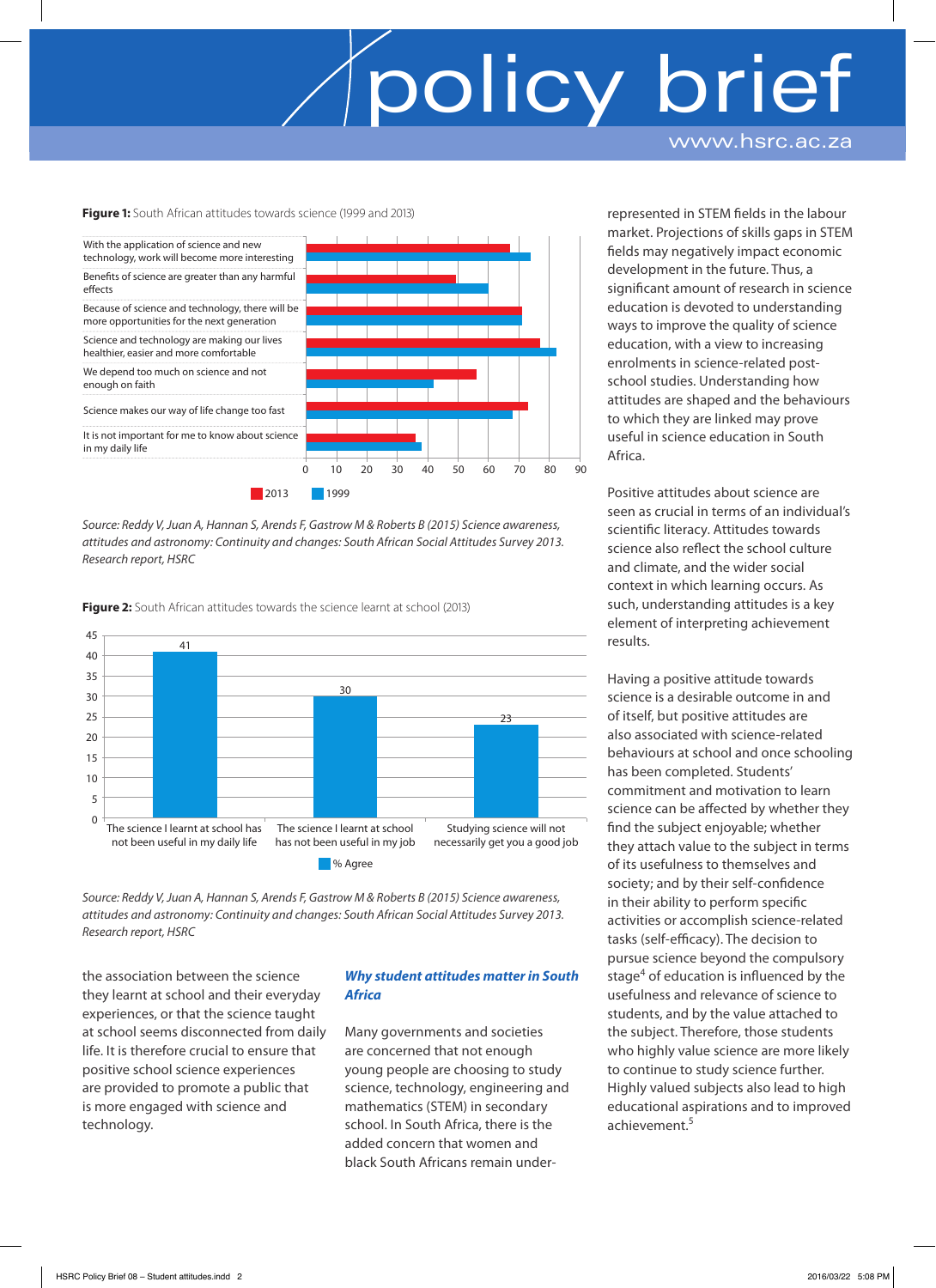www.hsrc.ac.za

**Figure 1:** South African attitudes towards science (1999 and 2013)



*Source: Reddy V, Juan A, Hannan S, Arends F, Gastrow M & Roberts B (2015) Science awareness, attitudes and astronomy: Continuity and changes: South African Social Attitudes Survey 2013. Research report, HSRC*

**Figure 2:** South African attitudes towards the science learnt at school (2013)



*Source: Reddy V, Juan A, Hannan S, Arends F, Gastrow M & Roberts B (2015) Science awareness, attitudes and astronomy: Continuity and changes: South African Social Attitudes Survey 2013. Research report, HSRC* 

the association between the science they learnt at school and their everyday experiences, or that the science taught at school seems disconnected from daily life. It is therefore crucial to ensure that positive school science experiences are provided to promote a public that is more engaged with science and technology.

### *Why student attitudes matter in South Africa*

Many governments and societies are concerned that not enough young people are choosing to study science, technology, engineering and mathematics (STEM) in secondary school. In South Africa, there is the added concern that women and black South Africans remain under-

represented in STEM fields in the labour market. Projections of skills gaps in STEM fields may negatively impact economic development in the future. Thus, a significant amount of research in science education is devoted to understanding ways to improve the quality of science education, with a view to increasing enrolments in science-related postschool studies. Understanding how attitudes are shaped and the behaviours to which they are linked may prove useful in science education in South Africa.

Positive attitudes about science are seen as crucial in terms of an individual's scientific literacy. Attitudes towards science also reflect the school culture and climate, and the wider social context in which learning occurs. As such, understanding attitudes is a key element of interpreting achievement results.

Having a positive attitude towards science is a desirable outcome in and of itself, but positive attitudes are also associated with science-related behaviours at school and once schooling has been completed. Students' commitment and motivation to learn science can be affected by whether they find the subject enjoyable; whether they attach value to the subject in terms of its usefulness to themselves and society; and by their self-confidence in their ability to perform specific activities or accomplish science-related tasks (self-efficacy). The decision to pursue science beyond the compulsory stage<sup>4</sup> of education is influenced by the usefulness and relevance of science to students, and by the value attached to the subject. Therefore, those students who highly value science are more likely to continue to study science further. Highly valued subjects also lead to high educational aspirations and to improved achievement.<sup>5</sup>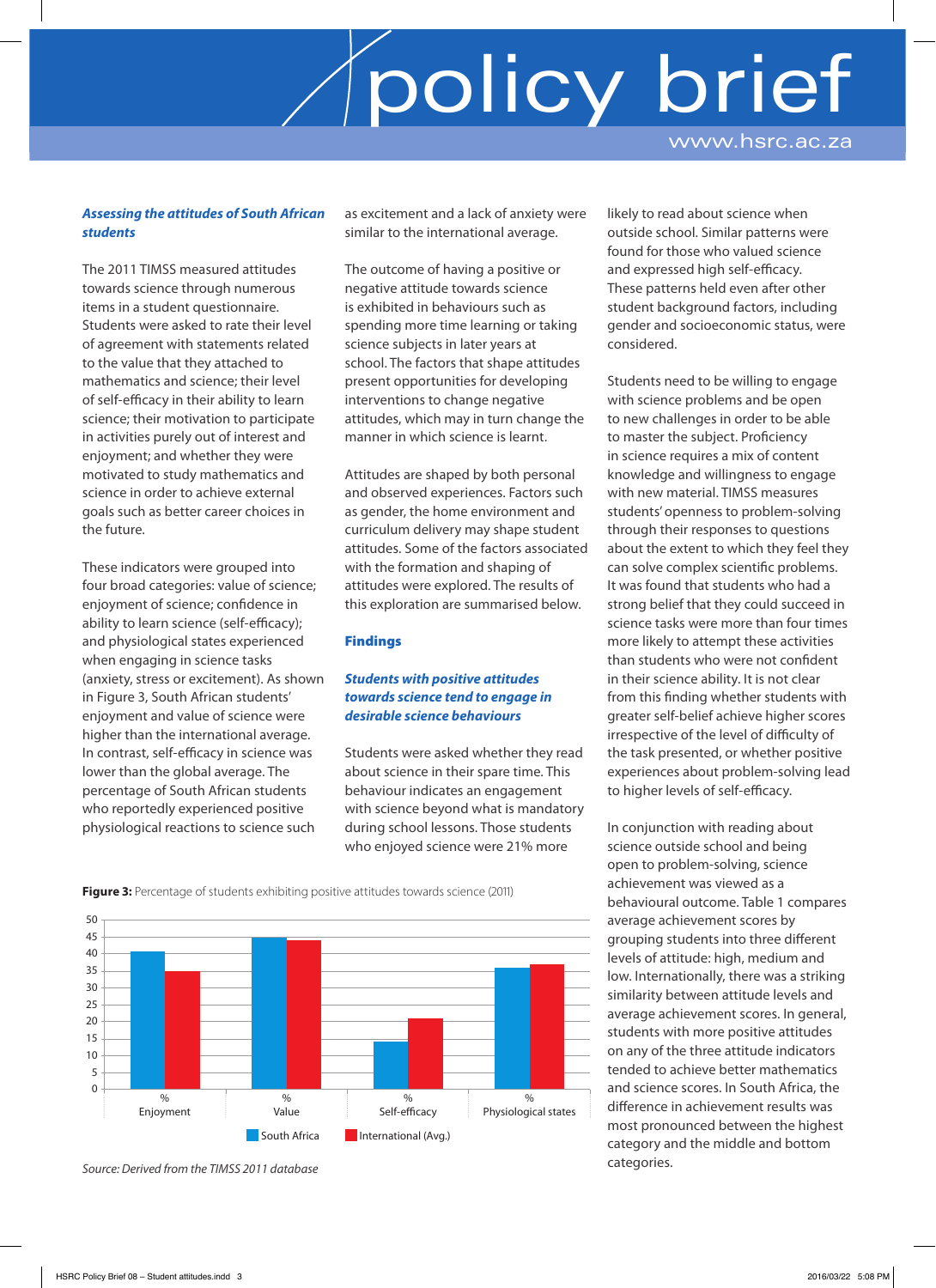www.hsrc.ac.za

### *Assessing the attitudes of South African students*

The 2011 TIMSS measured attitudes towards science through numerous items in a student questionnaire. Students were asked to rate their level of agreement with statements related to the value that they attached to mathematics and science; their level of self-efficacy in their ability to learn science; their motivation to participate in activities purely out of interest and enjoyment; and whether they were motivated to study mathematics and science in order to achieve external goals such as better career choices in the future.

These indicators were grouped into four broad categories: value of science; enjoyment of science; confidence in ability to learn science (self-efficacy); and physiological states experienced when engaging in science tasks (anxiety, stress or excitement). As shown in Figure 3, South African students' enjoyment and value of science were higher than the international average. In contrast, self-efficacy in science was lower than the global average. The percentage of South African students who reportedly experienced positive physiological reactions to science such

as excitement and a lack of anxiety were similar to the international average.

The outcome of having a positive or negative attitude towards science is exhibited in behaviours such as spending more time learning or taking science subjects in later years at school. The factors that shape attitudes present opportunities for developing interventions to change negative attitudes, which may in turn change the manner in which science is learnt.

Attitudes are shaped by both personal and observed experiences. Factors such as gender, the home environment and curriculum delivery may shape student attitudes. Some of the factors associated with the formation and shaping of attitudes were explored. The results of this exploration are summarised below.

### Findings

### *Students with positive attitudes towards science tend to engage in desirable science behaviours*

Students were asked whether they read about science in their spare time. This behaviour indicates an engagement with science beyond what is mandatory during school lessons. Those students who enjoyed science were 21% more

likely to read about science when outside school. Similar patterns were found for those who valued science and expressed high self-efficacy. These patterns held even after other student background factors, including gender and socioeconomic status, were considered.

Students need to be willing to engage with science problems and be open to new challenges in order to be able to master the subject. Proficiency in science requires a mix of content knowledge and willingness to engage with new material. TIMSS measures students' openness to problem-solving through their responses to questions about the extent to which they feel they can solve complex scientific problems. It was found that students who had a strong belief that they could succeed in science tasks were more than four times more likely to attempt these activities than students who were not confident in their science ability. It is not clear from this finding whether students with greater self-belief achieve higher scores irrespective of the level of difficulty of the task presented, or whether positive experiences about problem-solving lead to higher levels of self-efficacy.

In conjunction with reading about science outside school and being open to problem-solving, science achievement was viewed as a behavioural outcome. Table 1 compares average achievement scores by grouping students into three different levels of attitude: high, medium and low. Internationally, there was a striking similarity between attitude levels and average achievement scores. In general, students with more positive attitudes on any of the three attitude indicators tended to achieve better mathematics and science scores. In South Africa, the difference in achievement results was most pronounced between the highest category and the middle and bottom categories.





*Source: Derived from the TIMSS 2011 database*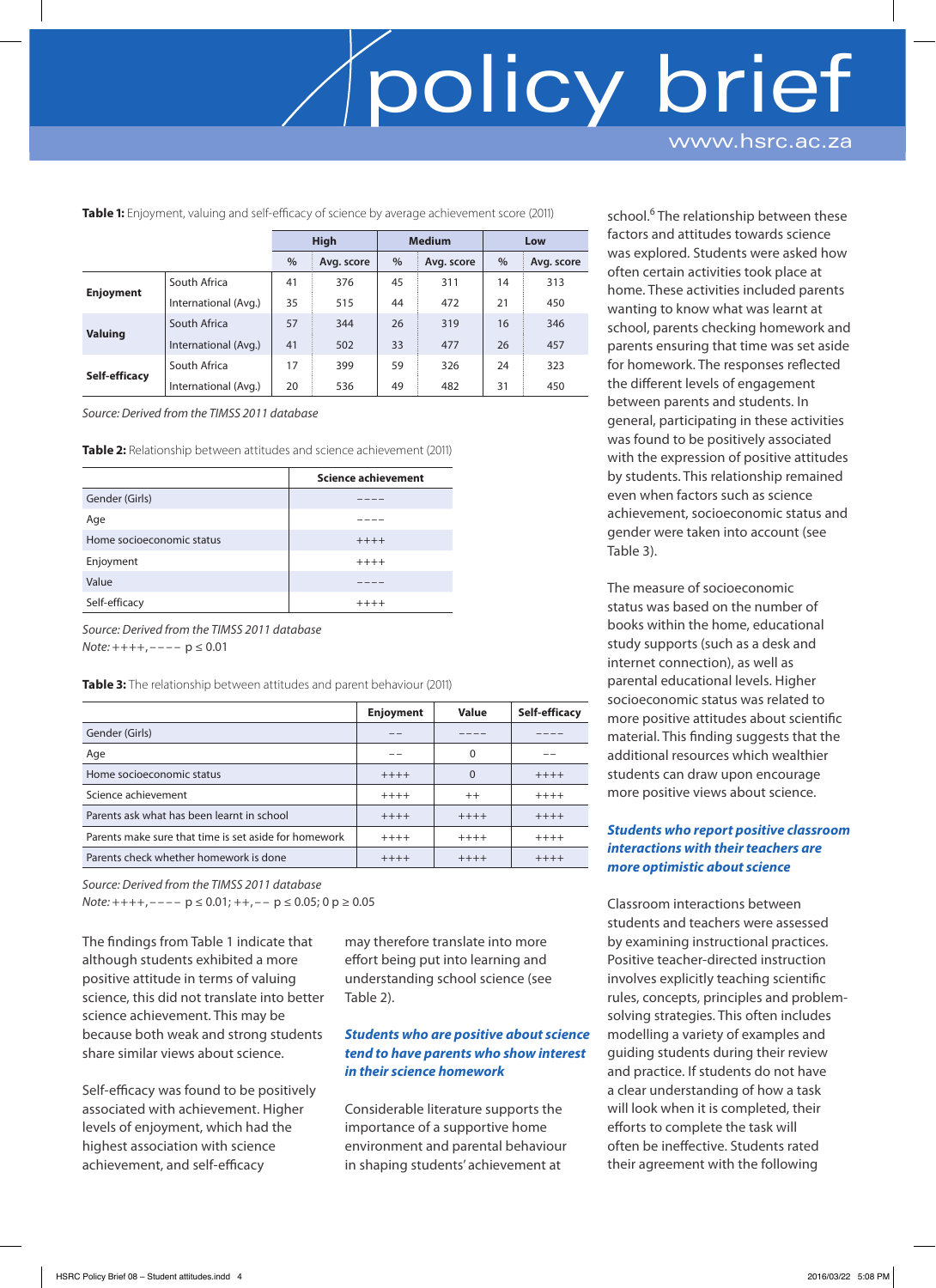www.hsrc.ac.za

**Table 1:** Enjoyment, valuing and self-efficacy of science by average achievement score (2011)

|                  |                      | <b>High</b> |            | <b>Medium</b> |            | Low |            |
|------------------|----------------------|-------------|------------|---------------|------------|-----|------------|
|                  |                      |             |            |               |            |     |            |
|                  |                      | $\%$        | Avg. score | $\%$          | Avg. score | %   | Avg. score |
| <b>Enjoyment</b> | South Africa         | 41          | 376        | 45            | 311        | 14  | 313        |
|                  | International (Avg.) | 35          | 515        | 44            | 472        | 21  | 450        |
| <b>Valuing</b>   | South Africa         | 57          | 344        | 26            | 319        | 16  | 346        |
|                  | International (Avg.) | 41          | 502        | 33            | 477        | 26  | 457        |
| Self-efficacy    | South Africa         | 17          | 399        | 59            | 326        | 24  | 323        |
|                  | International (Avg.) | 20          | 536        | 49            | 482        | 31  | 450        |

*Source: Derived from the TIMSS 2011 database*

**Table 2:** Relationship between attitudes and science achievement (2011)

|                           | <b>Science achievement</b> |
|---------------------------|----------------------------|
| Gender (Girls)            |                            |
| Age                       |                            |
| Home socioeconomic status | $+++++$                    |
| Enjoyment                 | $+++++$                    |
| Value                     |                            |
| Self-efficacy             | $+++++$                    |

*Source: Derived from the TIMSS 2011 database Note:* ++++, ---- p ≤ 0.01

**Table 3:** The relationship between attitudes and parent behaviour (2011)

|                                                       | <b>Enjoyment</b> | Value    | Self-efficacy |
|-------------------------------------------------------|------------------|----------|---------------|
| Gender (Girls)                                        |                  |          |               |
| Age                                                   |                  | $\Omega$ |               |
| Home socioeconomic status                             | $+++++$          | 0        | $+++++$       |
| Science achievement                                   | $++++$           | $++$     | $+++++$       |
| Parents ask what has been learnt in school            | $+++++$          | $+++++$  | $+++++$       |
| Parents make sure that time is set aside for homework | $+++++$          | $+++++$  | $+++++$       |
| Parents check whether homework is done                | $+++++$          | $+++++$  | $+++++$       |

*Source: Derived from the TIMSS 2011 database*

*Note*: ++++, – – – – p ≤ 0.01; + +, – – p ≤ 0.05; 0 p ≥ 0.05

The findings from Table 1 indicate that although students exhibited a more positive attitude in terms of valuing science, this did not translate into better science achievement. This may be because both weak and strong students share similar views about science.

Self-efficacy was found to be positively associated with achievement. Higher levels of enjoyment, which had the highest association with science achievement, and self-efficacy

may therefore translate into more effort being put into learning and understanding school science (see Table 2).

### *Students who are positive about science tend to have parents who show interest in their science homework*

Considerable literature supports the importance of a supportive home environment and parental behaviour in shaping students' achievement at

school.<sup>6</sup> The relationship between these factors and attitudes towards science was explored. Students were asked how often certain activities took place at home. These activities included parents wanting to know what was learnt at school, parents checking homework and parents ensuring that time was set aside for homework. The responses reflected the different levels of engagement between parents and students. In general, participating in these activities was found to be positively associated with the expression of positive attitudes by students. This relationship remained even when factors such as science achievement, socioeconomic status and gender were taken into account (see Table 3).

The measure of socioeconomic status was based on the number of books within the home, educational study supports (such as a desk and internet connection), as well as parental educational levels. Higher socioeconomic status was related to more positive attitudes about scientific material. This finding suggests that the additional resources which wealthier students can draw upon encourage more positive views about science.

### *Students who report positive classroom interactions with their teachers are more optimistic about science*

Classroom interactions between students and teachers were assessed by examining instructional practices. Positive teacher-directed instruction involves explicitly teaching scientific rules, concepts, principles and problemsolving strategies. This often includes modelling a variety of examples and guiding students during their review and practice. If students do not have a clear understanding of how a task will look when it is completed, their efforts to complete the task will often be ineffective. Students rated their agreement with the following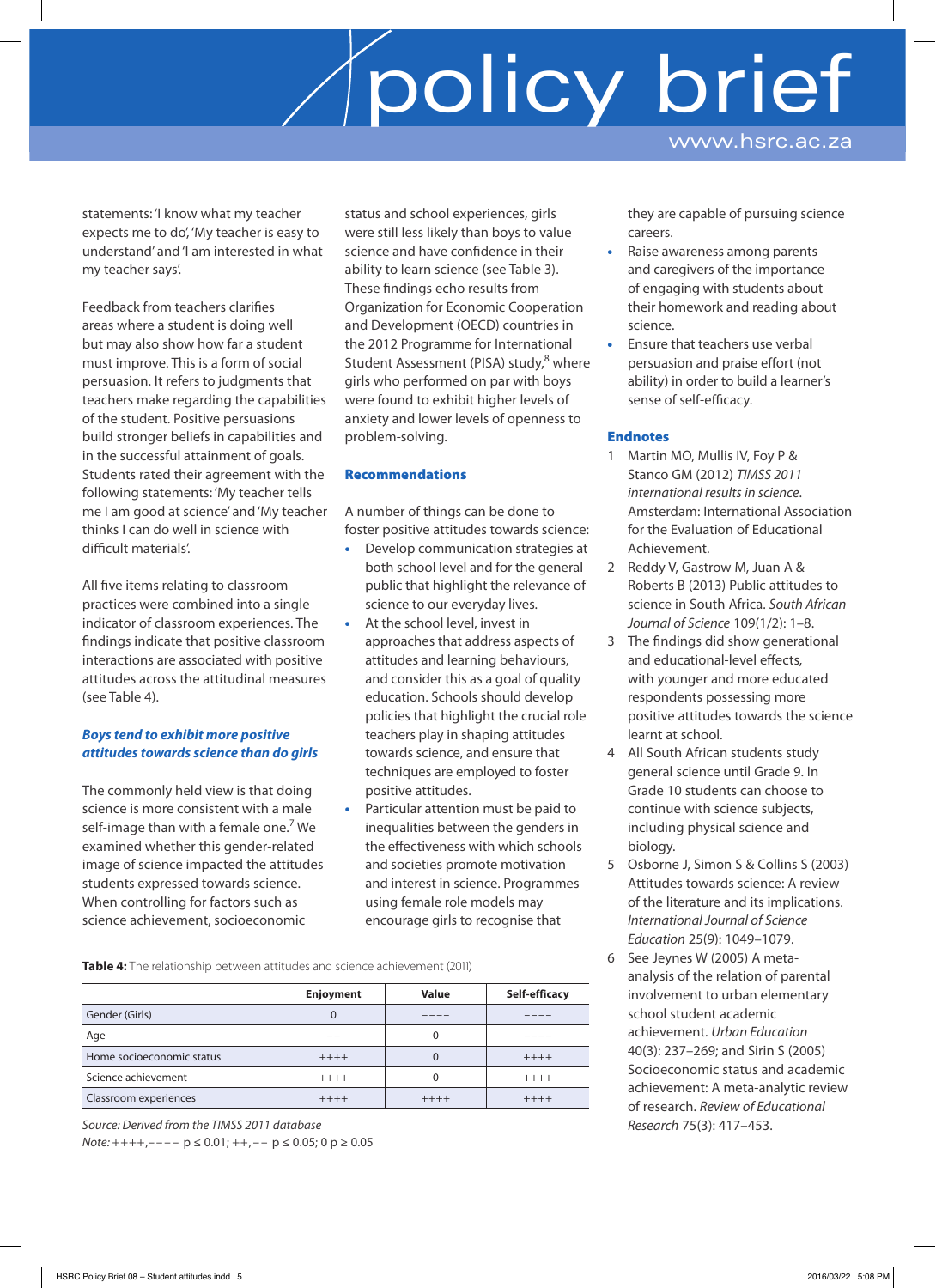statements: 'I know what my teacher expects me to do', 'My teacher is easy to understand' and 'I am interested in what my teacher says'.

Feedback from teachers clarifies areas where a student is doing well but may also show how far a student must improve. This is a form of social persuasion. It refers to judgments that teachers make regarding the capabilities of the student. Positive persuasions build stronger beliefs in capabilities and in the successful attainment of goals. Students rated their agreement with the following statements: 'My teacher tells me I am good at science' and 'My teacher thinks I can do well in science with difficult materials'.

All five items relating to classroom practices were combined into a single indicator of classroom experiences. The findings indicate that positive classroom interactions are associated with positive attitudes across the attitudinal measures (see Table 4).

### *Boys tend to exhibit more positive attitudes towards science than do girls*

The commonly held view is that doing science is more consistent with a male self-image than with a female one.<sup>7</sup> We examined whether this gender-related image of science impacted the attitudes students expressed towards science. When controlling for factors such as science achievement, socioeconomic

status and school experiences, girls were still less likely than boys to value science and have confidence in their ability to learn science (see Table 3). These findings echo results from Organization for Economic Cooperation and Development (OECD) countries in the 2012 Programme for International Student Assessment (PISA) study,<sup>8</sup> where girls who performed on par with boys were found to exhibit higher levels of anxiety and lower levels of openness to problem-solving.

### Recommendations

A number of things can be done to foster positive attitudes towards science:

- Develop communication strategies at both school level and for the general public that highlight the relevance of science to our everyday lives.
- At the school level, invest in approaches that address aspects of attitudes and learning behaviours, and consider this as a goal of quality education. Schools should develop policies that highlight the crucial role teachers play in shaping attitudes towards science, and ensure that techniques are employed to foster positive attitudes.
- Particular attention must be paid to inequalities between the genders in the effectiveness with which schools and societies promote motivation and interest in science. Programmes using female role models may encourage girls to recognise that

they are capable of pursuing science careers. Raise awareness among parents

www.hsrc.ac.za

- and caregivers of the importance of engaging with students about their homework and reading about science.
- Ensure that teachers use verbal persuasion and praise effort (not ability) in order to build a learner's sense of self-efficacy.

### Endnotes

- 1 Martin MO, Mullis IV, Foy P & Stanco GM (2012) *TIMSS 2011 international results in science*. Amsterdam: International Association for the Evaluation of Educational Achievement.
- 2 Reddy V, Gastrow M, Juan A & Roberts B (2013) Public attitudes to science in South Africa. *South African Journal of Science* 109(1/2): 1–8.
- 3 The findings did show generational and educational-level effects, with younger and more educated respondents possessing more positive attitudes towards the science learnt at school.
- 4 All South African students study general science until Grade 9. In Grade 10 students can choose to continue with science subjects, including physical science and biology.
- 5 Osborne J, Simon S & Collins S (2003) Attitudes towards science: A review of the literature and its implications. *International Journal of Science Education* 25(9): 1049–1079.
- 6 See Jeynes W (2005) A metaanalysis of the relation of parental involvement to urban elementary school student academic achievement. *Urban Education* 40(3): 237–269; and Sirin S (2005) Socioeconomic status and academic achievement: A meta-analytic review of research. *Review of Educational Research* 75(3): 417–453.

**Table 4:** The relationship between attitudes and science achievement (2011)

|                           | Enjoyment | Value   | Self-efficacy |
|---------------------------|-----------|---------|---------------|
| Gender (Girls)            | U         |         |               |
| Age                       |           |         |               |
| Home socioeconomic status | $+++++$   |         | $+++++$       |
| Science achievement       | $+++++$   |         | $+++++$       |
| Classroom experiences     | $+++++$   | $+++++$ | $+++++$       |

*Source: Derived from the TIMSS 2011 database*

*Note*:  $++++$ ,----  $p \le 0.01$ ;  $++$ ,--  $p \le 0.05$ ; 0  $p \ge 0.05$